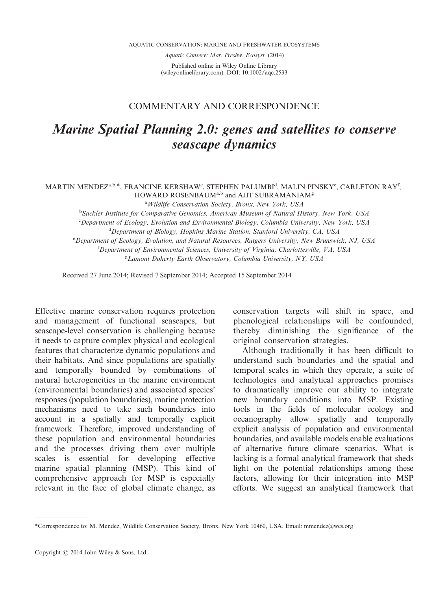AQUATIC CONSERVATION: MARINE AND FRESHWATER ECOSYSTEMS

Aquatic Conserv: Mar. Freshw. Ecosyst. (2014)

Published online in Wiley Online Library (wileyonlinelibrary.com). DOI: 10.1002/aqc.2533

## COMMENTARY AND CORRESPONDENCE

## Marine Spatial Planning 2.0: genes and satellites to conserve seascape dynamics

## MARTIN MENDEZ<sup>a,b,\*</sup>, FRANCINE KERSHAW°, STEPHEN PALUMBI<sup>d</sup>, MALIN PINSKY°, CARLETON RAY<sup>f</sup>, HOWARD ROSENBAUM<sup>a,b</sup> and AJIT SUBRAMANIAM<sup>g</sup>

<sup>a</sup> Wildlife Conservation Society, Bronx, New York, USA

<sup>b</sup>Sackler Institute for Comparative Genomics, American Museum of Natural History, New York, USA

<sup>c</sup>Department of Ecology, Evolution and Environmental Biology, Columbia University, New York, USA

<sup>d</sup>Department of Biology, Hopkins Marine Station, Stanford University, CA, USA

<sup>e</sup> Department of Ecology, Evolution, and Natural Resources, Rutgers University, New Brunswick, NJ, USA

<sup>f</sup>Department of Environmental Sciences, University of Virginia, Charlottesville, VA, USA

<sup>g</sup> Lamont Doherty Earth Observatory, Columbia University, NY, USA

Received 27 June 2014; Revised 7 September 2014; Accepted 15 September 2014

Effective marine conservation requires protection and management of functional seascapes, but seascape-level conservation is challenging because it needs to capture complex physical and ecological features that characterize dynamic populations and their habitats. And since populations are spatially and temporally bounded by combinations of natural heterogeneities in the marine environment (environmental boundaries) and associated species' responses (population boundaries), marine protection mechanisms need to take such boundaries into account in a spatially and temporally explicit framework. Therefore, improved understanding of these population and environmental boundaries and the processes driving them over multiple scales is essential for developing effective marine spatial planning (MSP). This kind of comprehensive approach for MSP is especially relevant in the face of global climate change, as

conservation targets will shift in space, and phenological relationships will be confounded, thereby diminishing the significance of the original conservation strategies.

Although traditionally it has been difficult to understand such boundaries and the spatial and temporal scales in which they operate, a suite of technologies and analytical approaches promises to dramatically improve our ability to integrate new boundary conditions into MSP. Existing tools in the fields of molecular ecology and oceanography allow spatially and temporally explicit analysis of population and environmental boundaries, and available models enable evaluations of alternative future climate scenarios. What is lacking is a formal analytical framework that sheds light on the potential relationships among these factors, allowing for their integration into MSP efforts. We suggest an analytical framework that

<sup>\*</sup>Correspondence to: M. Mendez, Wildlife Conservation Society, Bronx, New York 10460, USA. Email: mmendez@wcs.org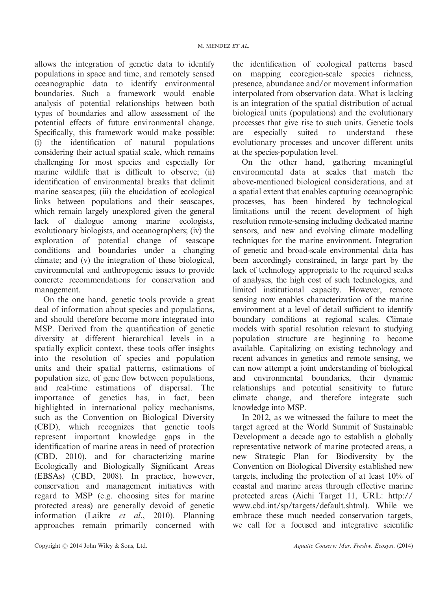allows the integration of genetic data to identify populations in space and time, and remotely sensed oceanographic data to identify environmental boundaries. Such a framework would enable analysis of potential relationships between both types of boundaries and allow assessment of the potential effects of future environmental change. Specifically, this framework would make possible: (i) the identification of natural populations considering their actual spatial scale, which remains challenging for most species and especially for marine wildlife that is difficult to observe; (ii) identification of environmental breaks that delimit marine seascapes; (iii) the elucidation of ecological links between populations and their seascapes, which remain largely unexplored given the general lack of dialogue among marine ecologists, evolutionary biologists, and oceanographers; (iv) the exploration of potential change of seascape conditions and boundaries under a changing climate; and (v) the integration of these biological, environmental and anthropogenic issues to provide concrete recommendations for conservation and management.

On the one hand, genetic tools provide a great deal of information about species and populations, and should therefore become more integrated into MSP. Derived from the quantification of genetic diversity at different hierarchical levels in a spatially explicit context, these tools offer insights into the resolution of species and population units and their spatial patterns, estimations of population size, of gene flow between populations, and real-time estimations of dispersal. The importance of genetics has, in fact, been highlighted in international policy mechanisms, such as the Convention on Biological Diversity (CBD), which recognizes that genetic tools represent important knowledge gaps in the identification of marine areas in need of protection (CBD, 2010), and for characterizing marine Ecologically and Biologically Significant Areas (EBSAs) (CBD, 2008). In practice, however, conservation and management initiatives with regard to MSP (e.g. choosing sites for marine protected areas) are generally devoid of genetic information (Laikre et al., 2010). Planning approaches remain primarily concerned with the identification of ecological patterns based on mapping ecoregion-scale species richness, presence, abundance and/or movement information interpolated from observation data. What is lacking is an integration of the spatial distribution of actual biological units (populations) and the evolutionary processes that give rise to such units. Genetic tools are especially suited to understand these evolutionary processes and uncover different units at the species-population level.

On the other hand, gathering meaningful environmental data at scales that match the above-mentioned biological considerations, and at a spatial extent that enables capturing oceanographic processes, has been hindered by technological limitations until the recent development of high resolution remote-sensing including dedicated marine sensors, and new and evolving climate modelling techniques for the marine environment. Integration of genetic and broad-scale environmental data has been accordingly constrained, in large part by the lack of technology appropriate to the required scales of analyses, the high cost of such technologies, and limited institutional capacity. However, remote sensing now enables characterization of the marine environment at a level of detail sufficient to identify boundary conditions at regional scales. Climate models with spatial resolution relevant to studying population structure are beginning to become available. Capitalizing on existing technology and recent advances in genetics and remote sensing, we can now attempt a joint understanding of biological and environmental boundaries, their dynamic relationships and potential sensitivity to future climate change, and therefore integrate such knowledge into MSP.

In 2012, as we witnessed the failure to meet the target agreed at the World Summit of Sustainable Development a decade ago to establish a globally representative network of marine protected areas, a new Strategic Plan for Biodiversity by the Convention on Biological Diversity established new targets, including the protection of at least 10% of coastal and marine areas through effective marine protected areas (Aichi Target 11, URL: http:// www.cbd.int/sp/targets/default.shtml). While we embrace these much needed conservation targets, we call for a focused and integrative scientific